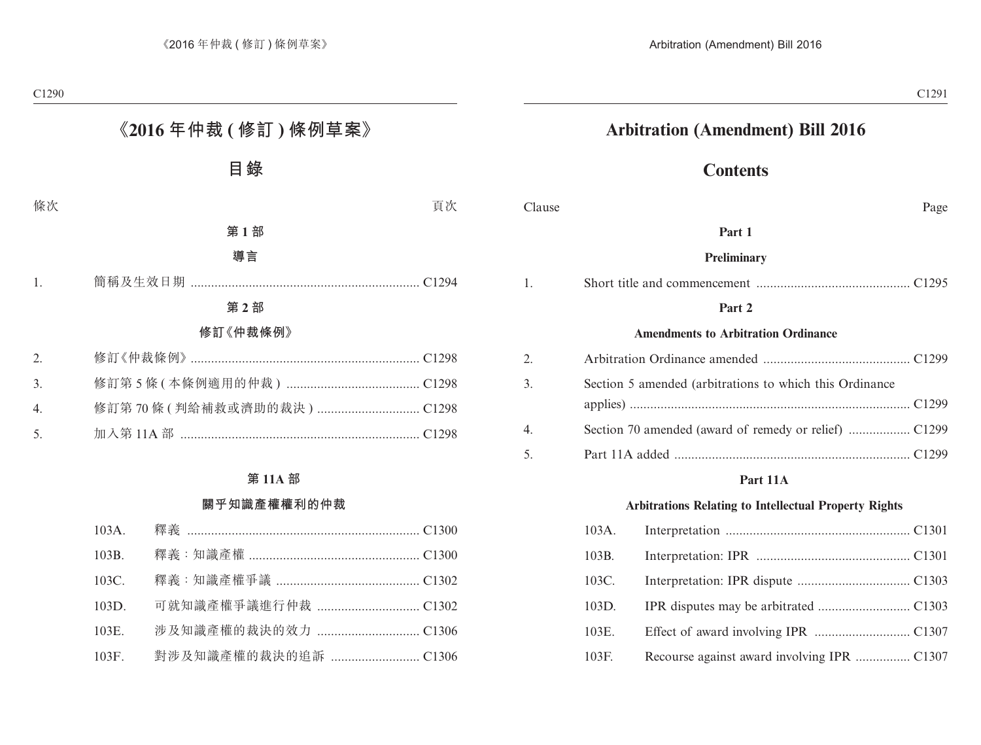## **Arbitration (Amendment) Bill 2016**

## **Contents**

| Clause |          | Page                                                         |  |
|--------|----------|--------------------------------------------------------------|--|
|        |          | Part 1                                                       |  |
|        |          | <b>Preliminary</b>                                           |  |
| 1.     |          |                                                              |  |
|        |          | Part 2                                                       |  |
|        |          | <b>Amendments to Arbitration Ordinance</b>                   |  |
| 2.     |          |                                                              |  |
| 3.     |          | Section 5 amended (arbitrations to which this Ordinance      |  |
|        |          |                                                              |  |
| 4.     |          |                                                              |  |
| 5.     |          |                                                              |  |
|        |          | Part 11A                                                     |  |
|        |          | <b>Arbitrations Relating to Intellectual Property Rights</b> |  |
|        | $103A$ . |                                                              |  |
|        | 103B.    |                                                              |  |
|        | 103C.    |                                                              |  |
|        | 103D.    |                                                              |  |

103E. Effect of award involving IPR ............................ C1307 103F. Recourse against award involving IPR ................ C1307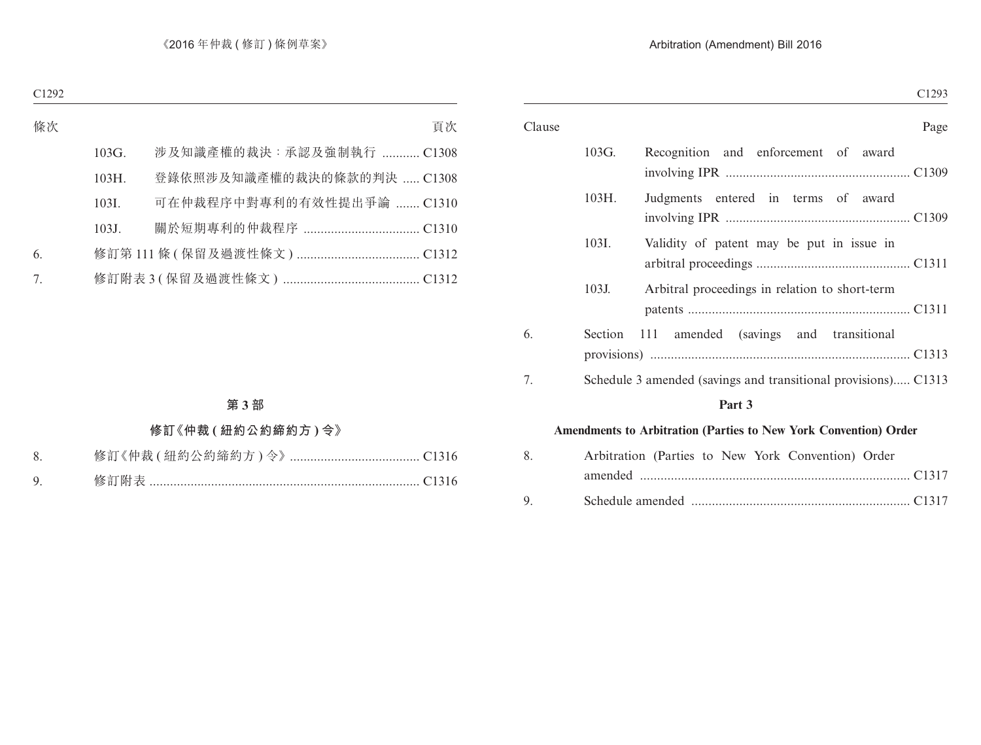| ۰.<br>۰,<br>×<br>۰,<br>٠<br>۰, |
|--------------------------------|
|--------------------------------|

| Clause |         | Page                                                             |
|--------|---------|------------------------------------------------------------------|
|        | 103G.   | Recognition and enforcement of award                             |
|        | 103H.   | Judgments entered in terms of award                              |
|        | 103I.   | Validity of patent may be put in issue in                        |
|        | 103J.   | Arbitral proceedings in relation to short-term                   |
| 6.     | Section | amended (savings and transitional<br>- 111                       |
| 7.     |         | Schedule 3 amended (savings and transitional provisions) C1313   |
|        |         | Part 3                                                           |
|        |         | Amendments to Arbitration (Parties to New York Convention) Order |
| 8.     |         | Arbitration (Parties to New York Convention) Order               |
| 9.     |         |                                                                  |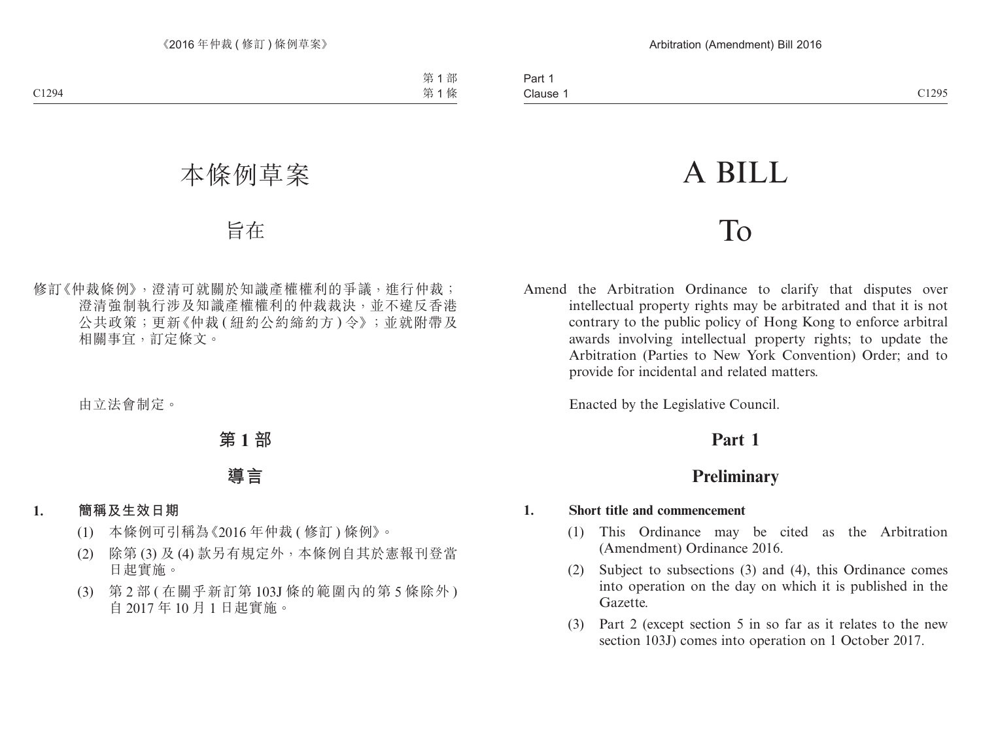# A BILL

## To

Amend the Arbitration Ordinance to clarify that disputes over intellectual property rights may be arbitrated and that it is not contrary to the public policy of Hong Kong to enforce arbitral awards involving intellectual property rights; to update the Arbitration (Parties to New York Convention) Order; and to provide for incidental and related matters.

Enacted by the Legislative Council.

## **Part 1**

## **Preliminary**

#### **1. Short title and commencement**

- (1) This Ordinance may be cited as the Arbitration (Amendment) Ordinance 2016.
- (2) Subject to subsections (3) and (4), this Ordinance comes into operation on the day on which it is published in the Gazette.
- (3) Part 2 (except section 5 in so far as it relates to the new section 103J) comes into operation on 1 October 2017.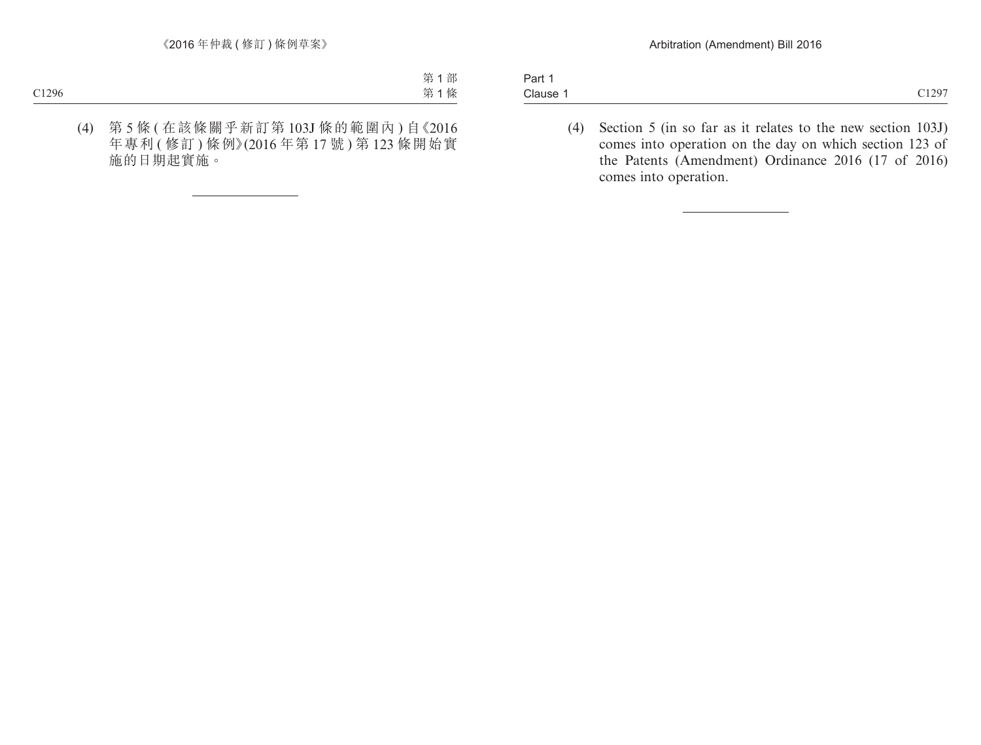| $\overline{\phantom{0}}$<br>Part 1 |                |
|------------------------------------|----------------|
| Clause                             | C1297<br>01271 |

(4) Section 5 (in so far as it relates to the new section 103J) comes into operation on the day on which section 123 of the Patents (Amendment) Ordinance 2016 (17 of 2016) comes into operation.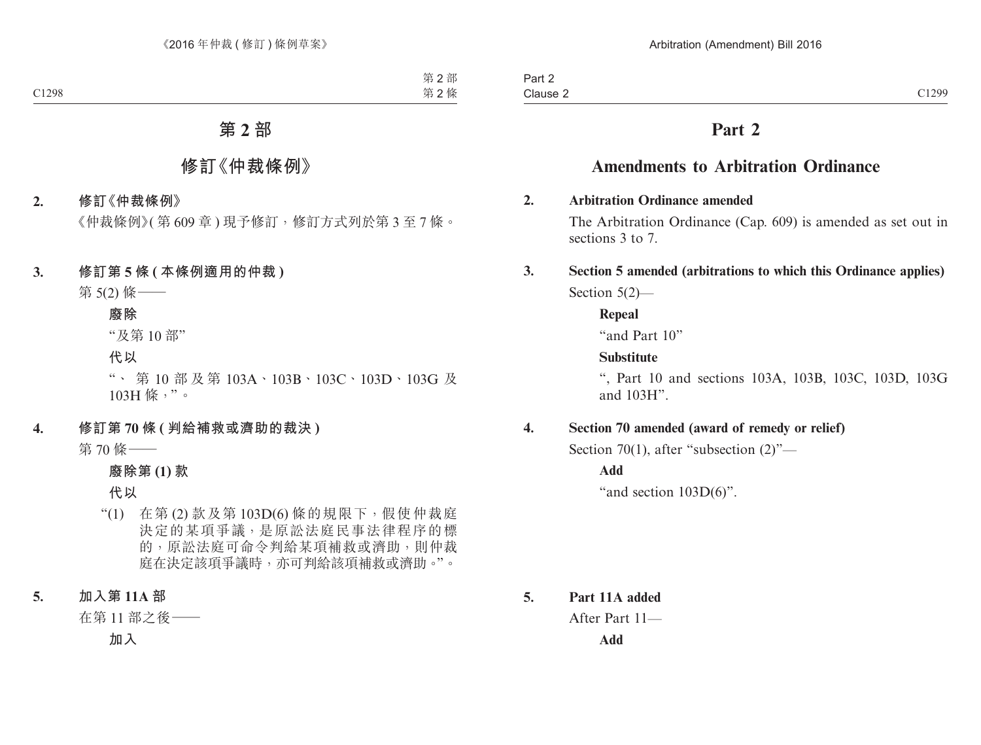## **Part 2**

## **Amendments to Arbitration Ordinance**

#### **2. Arbitration Ordinance amended**

The Arbitration Ordinance (Cap. 609) is amended as set out in sections 3 to 7.

### **3. Section 5 amended (arbitrations to which this Ordinance applies)** Section 5(2)—

**Repeal**

"and Part 10"

#### **Substitute**

", Part 10 and sections 103A, 103B, 103C, 103D, 103G and 103H".

#### **4. Section 70 amended (award of remedy or relief)**

Section 70(1), after "subsection (2)"—

**Add**

"and section  $103D(6)$ ".

**5. Part 11A added** After Part 11— **Add**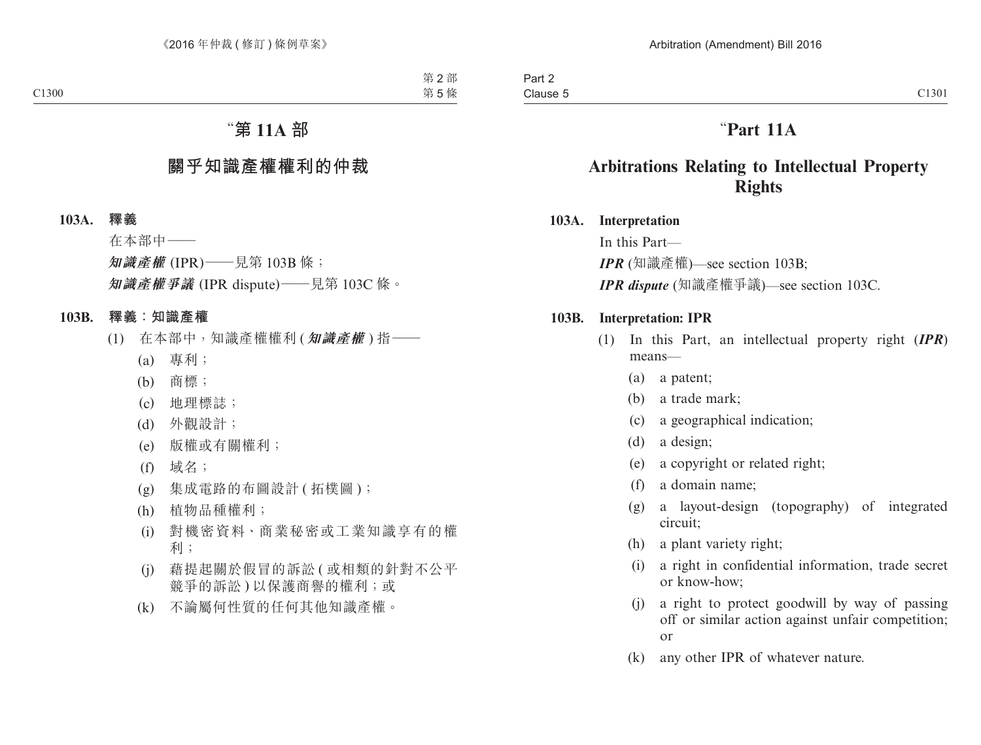## "**Part 11A**

## **Arbitrations Relating to Intellectual Property Rights**

#### **103A. Interpretation**

In this Part— *IPR* (知識產權)—see section 103B; *IPR dispute* (知識產權爭議)—see section 103C.

#### **103B. Interpretation: IPR**

- (1) In this Part, an intellectual property right (*IPR*) means—
	- (a) a patent;
	- (b) a trade mark;
	- (c) a geographical indication;
	- (d) a design;
	- (e) a copyright or related right;
	- (f) a domain name;
	- (g) a layout-design (topography) of integrated circuit;
	- (h) a plant variety right;
	- (i) a right in confidential information, trade secret or know-how;
	- (j) a right to protect goodwill by way of passing off or similar action against unfair competition; or
	- (k) any other IPR of whatever nature.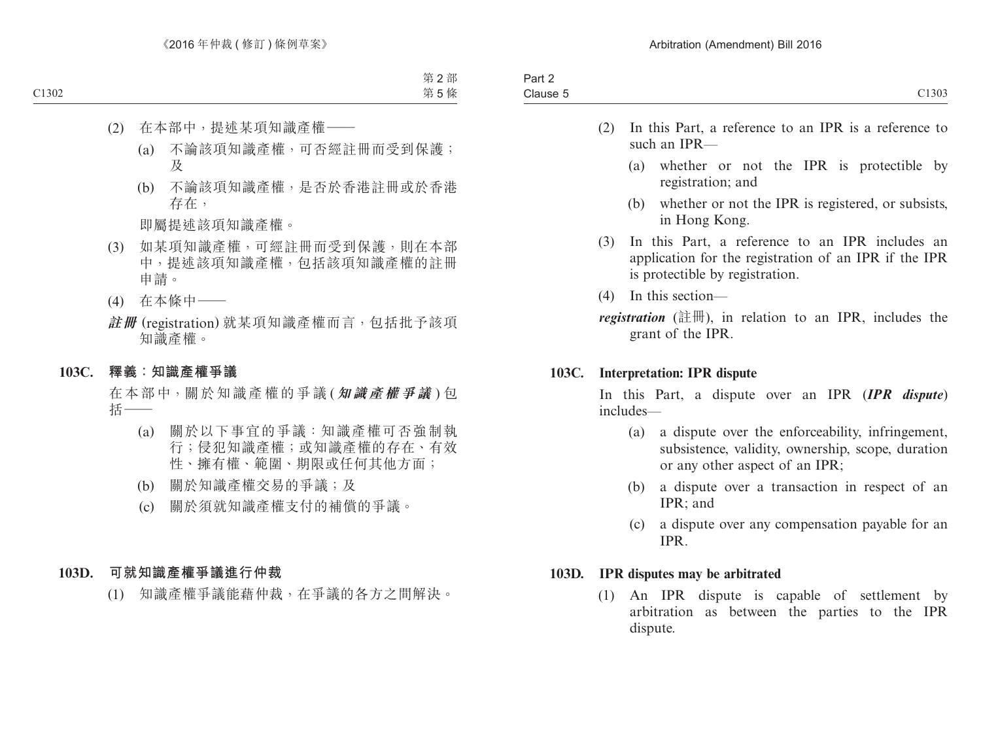- (2) In this Part, a reference to an IPR is a reference to such an IPR—
	- (a) whether or not the IPR is protectible by registration; and
	- (b) whether or not the IPR is registered, or subsists, in Hong Kong.
- (3) In this Part, a reference to an IPR includes an application for the registration of an IPR if the IPR is protectible by registration.
- (4) In this section—

*registration* (註冊), in relation to an IPR, includes the grant of the IPR.

#### **103C. Interpretation: IPR dispute**

In this Part, a dispute over an IPR (*IPR dispute*) includes—

- (a) a dispute over the enforceability, infringement, subsistence, validity, ownership, scope, duration or any other aspect of an IPR;
- (b) a dispute over a transaction in respect of an IPR; and
- (c) a dispute over any compensation payable for an IPR.

#### **103D. IPR disputes may be arbitrated**

(1) An IPR dispute is capable of settlement by arbitration as between the parties to the IPR dispute.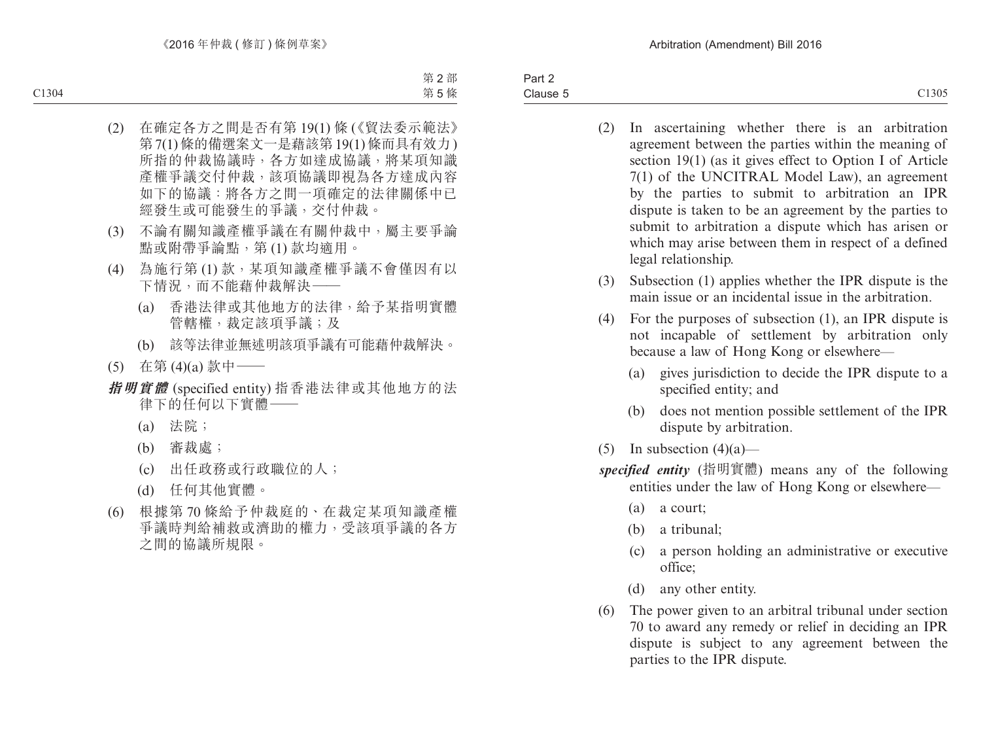Part 2 Clause 5 Clause 5 C1305

- (2) In ascertaining whether there is an arbitration agreement between the parties within the meaning of section 19(1) (as it gives effect to Option I of Article 7(1) of the UNCITRAL Model Law), an agreement by the parties to submit to arbitration an IPR dispute is taken to be an agreement by the parties to submit to arbitration a dispute which has arisen or which may arise between them in respect of a defined legal relationship.
- (3) Subsection (1) applies whether the IPR dispute is the main issue or an incidental issue in the arbitration.
- (4) For the purposes of subsection (1), an IPR dispute is not incapable of settlement by arbitration only because a law of Hong Kong or elsewhere—
	- (a) gives jurisdiction to decide the IPR dispute to a specified entity; and
	- (b) does not mention possible settlement of the IPR dispute by arbitration.
- (5) In subsection  $(4)(a)$ —
- *specified entity* (指明實體) means any of the following entities under the law of Hong Kong or elsewhere—
	- (a) a court;
	- (b) a tribunal;
	- (c) a person holding an administrative or executive office;
	- (d) any other entity.
- (6) The power given to an arbitral tribunal under section 70 to award any remedy or relief in deciding an IPR dispute is subject to any agreement between the parties to the IPR dispute.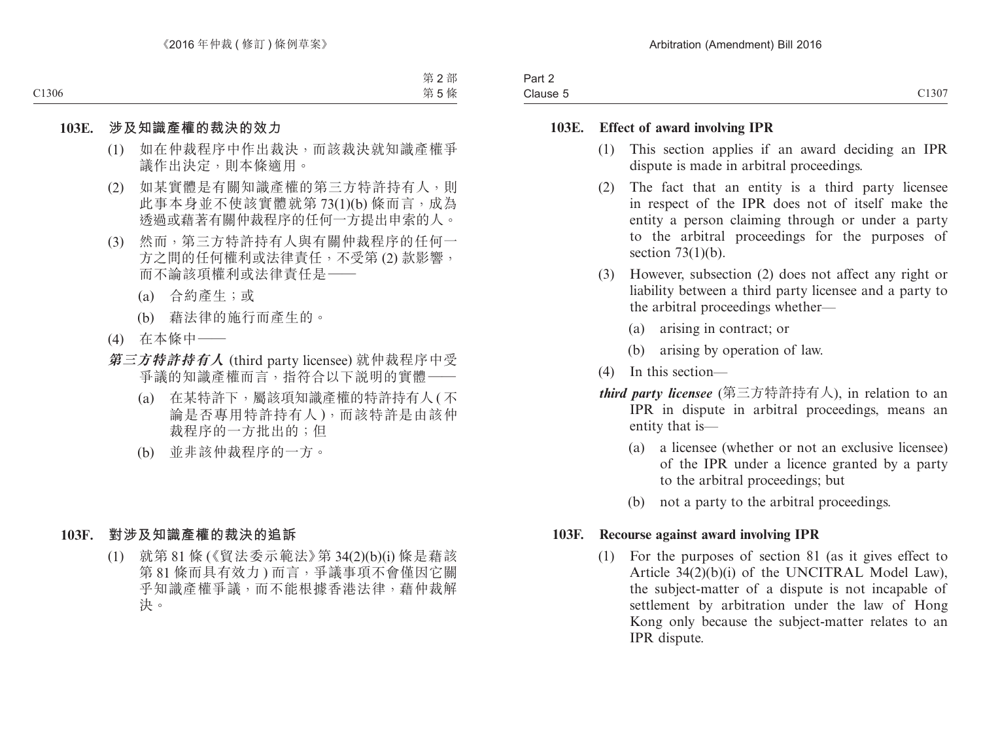| $\sim$<br>າ~~+<br>Pall 2 |                 |
|--------------------------|-----------------|
| Clause 5                 | C1307<br>ا 77 ب |

#### **103E. Effect of award involving IPR**

- (1) This section applies if an award deciding an IPR dispute is made in arbitral proceedings.
- (2) The fact that an entity is a third party licensee in respect of the IPR does not of itself make the entity a person claiming through or under a party to the arbitral proceedings for the purposes of section  $73(1)(b)$ .
- (3) However, subsection (2) does not affect any right or liability between a third party licensee and a party to the arbitral proceedings whether—
	- (a) arising in contract; or
	- (b) arising by operation of law.
- (4) In this section—
- *third party licensee* (第三方特許持有人), in relation to an IPR in dispute in arbitral proceedings, means an entity that is—
	- (a) a licensee (whether or not an exclusive licensee) of the IPR under a licence granted by a party to the arbitral proceedings; but
	- (b) not a party to the arbitral proceedings.

#### **103F. Recourse against award involving IPR**

(1) For the purposes of section 81 (as it gives effect to Article 34(2)(b)(i) of the UNCITRAL Model Law), the subject-matter of a dispute is not incapable of settlement by arbitration under the law of Hong Kong only because the subject-matter relates to an IPR dispute.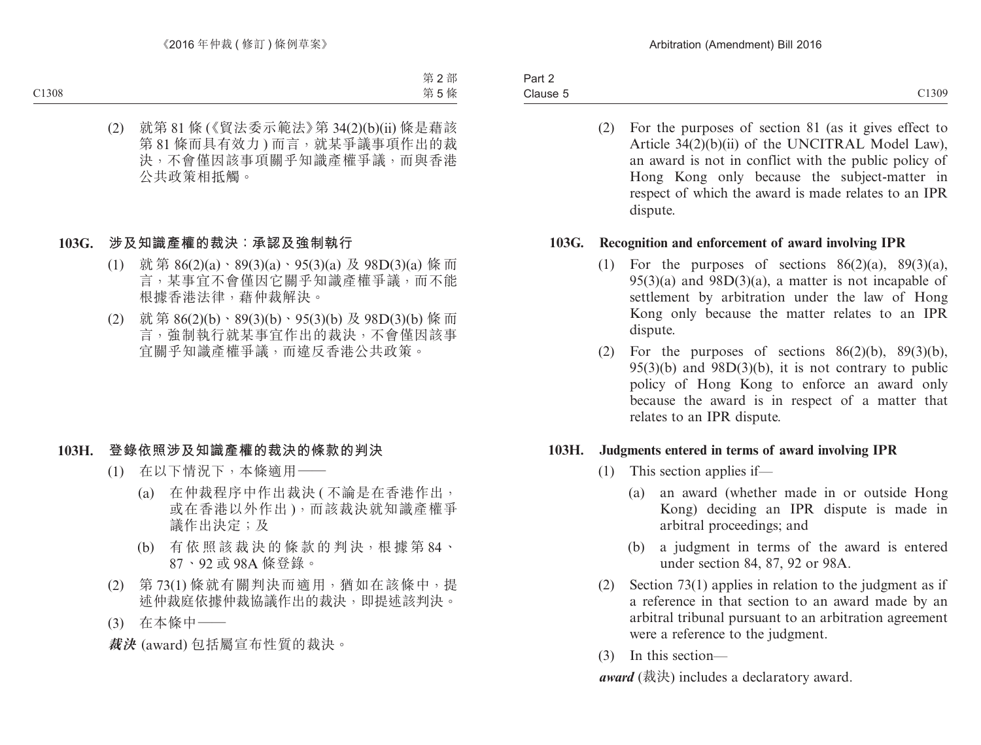Part 2 Clause 5 Clause 5 C1309

(2) For the purposes of section 81 (as it gives effect to Article 34(2)(b)(ii) of the UNCITRAL Model Law), an award is not in conflict with the public policy of Hong Kong only because the subject-matter in respect of which the award is made relates to an IPR dispute.

#### **103G. Recognition and enforcement of award involving IPR**

- (1) For the purposes of sections  $86(2)(a)$ ,  $89(3)(a)$ ,  $95(3)(a)$  and  $98D(3)(a)$ , a matter is not incapable of settlement by arbitration under the law of Hong Kong only because the matter relates to an IPR dispute.
- (2) For the purposes of sections  $86(2)(b)$ ,  $89(3)(b)$ ,  $95(3)(b)$  and  $98D(3)(b)$ , it is not contrary to public policy of Hong Kong to enforce an award only because the award is in respect of a matter that relates to an IPR dispute.

#### **103H. Judgments entered in terms of award involving IPR**

- (1) This section applies if—
	- (a) an award (whether made in or outside Hong Kong) deciding an IPR dispute is made in arbitral proceedings; and
	- (b) a judgment in terms of the award is entered under section 84, 87, 92 or 98A.
- (2) Section 73(1) applies in relation to the judgment as if a reference in that section to an award made by an arbitral tribunal pursuant to an arbitration agreement were a reference to the judgment.
- (3) In this section—

*award* (裁決) includes a declaratory award.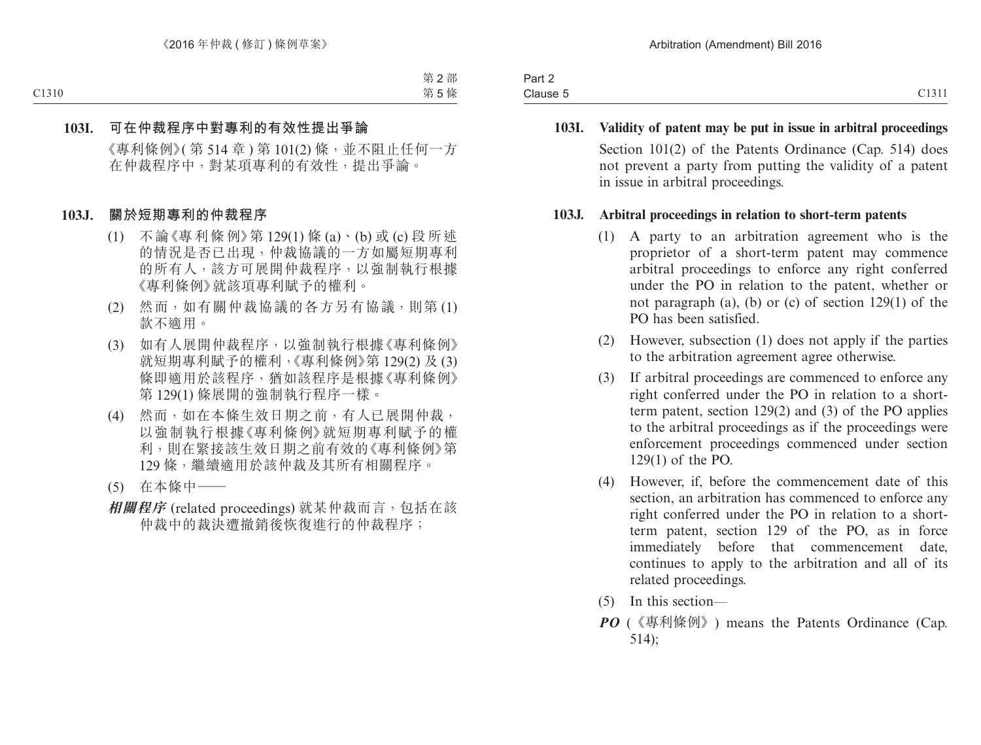| Part 2   |                                                               |
|----------|---------------------------------------------------------------|
| Clause 5 | 0.1011<br>$\rightarrow$<br>$\sim$ $\sim$ $\sim$ $\sim$ $\sim$ |

**103I. Validity of patent may be put in issue in arbitral proceedings** Section 101(2) of the Patents Ordinance (Cap. 514) does not prevent a party from putting the validity of a patent in issue in arbitral proceedings.

#### **103J. Arbitral proceedings in relation to short-term patents**

- (1) A party to an arbitration agreement who is the proprietor of a short-term patent may commence arbitral proceedings to enforce any right conferred under the PO in relation to the patent, whether or not paragraph (a), (b) or (c) of section 129(1) of the PO has been satisfied.
- (2) However, subsection (1) does not apply if the parties to the arbitration agreement agree otherwise.
- (3) If arbitral proceedings are commenced to enforce any right conferred under the PO in relation to a shortterm patent, section 129(2) and (3) of the PO applies to the arbitral proceedings as if the proceedings were enforcement proceedings commenced under section 129(1) of the PO.
- (4) However, if, before the commencement date of this section, an arbitration has commenced to enforce any right conferred under the PO in relation to a shortterm patent, section 129 of the PO, as in force immediately before that commencement date, continues to apply to the arbitration and all of its related proceedings.
- (5) In this section—
- *PO* (《專利條例》) means the Patents Ordinance (Cap. 514);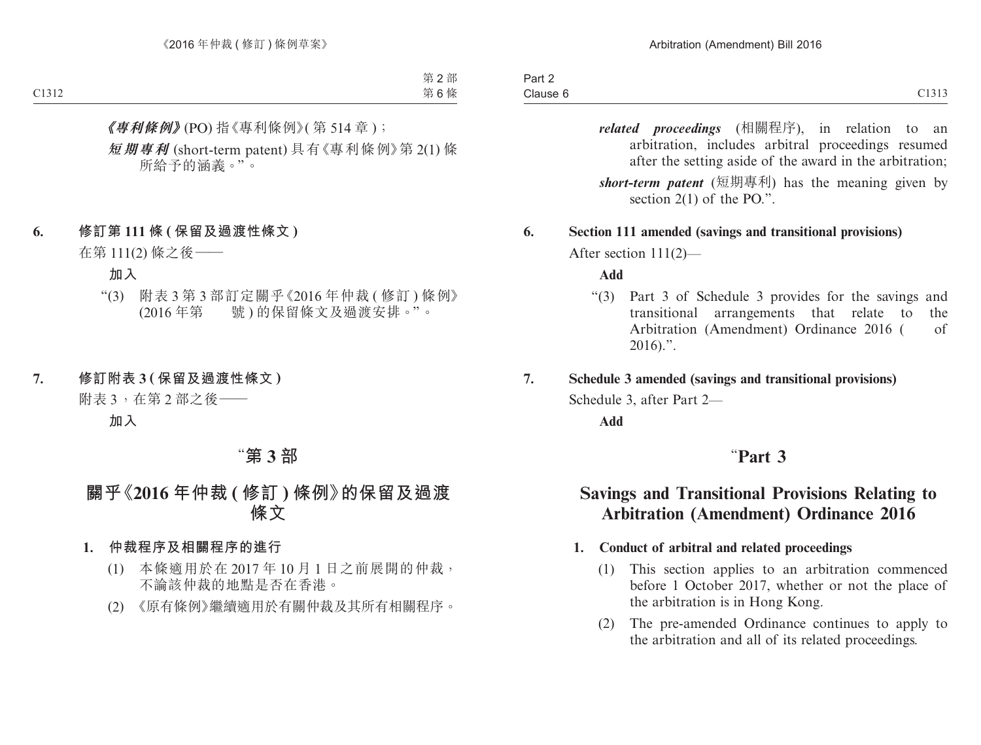*related proceedings* (相關程序), in relation to an arbitration, includes arbitral proceedings resumed after the setting aside of the award in the arbitration; *short-term patent* (短期專利) has the meaning given by section 2(1) of the PO.".

#### **6. Section 111 amended (savings and transitional provisions)**

After section 111(2)—

#### **Add**

"(3) Part 3 of Schedule 3 provides for the savings and transitional arrangements that relate to the Arbitration (Amendment) Ordinance 2016 ( of  $2016$ .".

#### **7. Schedule 3 amended (savings and transitional provisions)**

Schedule 3, after Part 2—

**Add**

## "**Part 3**

## **Savings and Transitional Provisions Relating to Arbitration (Amendment) Ordinance 2016**

#### **1. Conduct of arbitral and related proceedings**

- (1) This section applies to an arbitration commenced before 1 October 2017, whether or not the place of the arbitration is in Hong Kong.
- (2) The pre-amended Ordinance continues to apply to the arbitration and all of its related proceedings.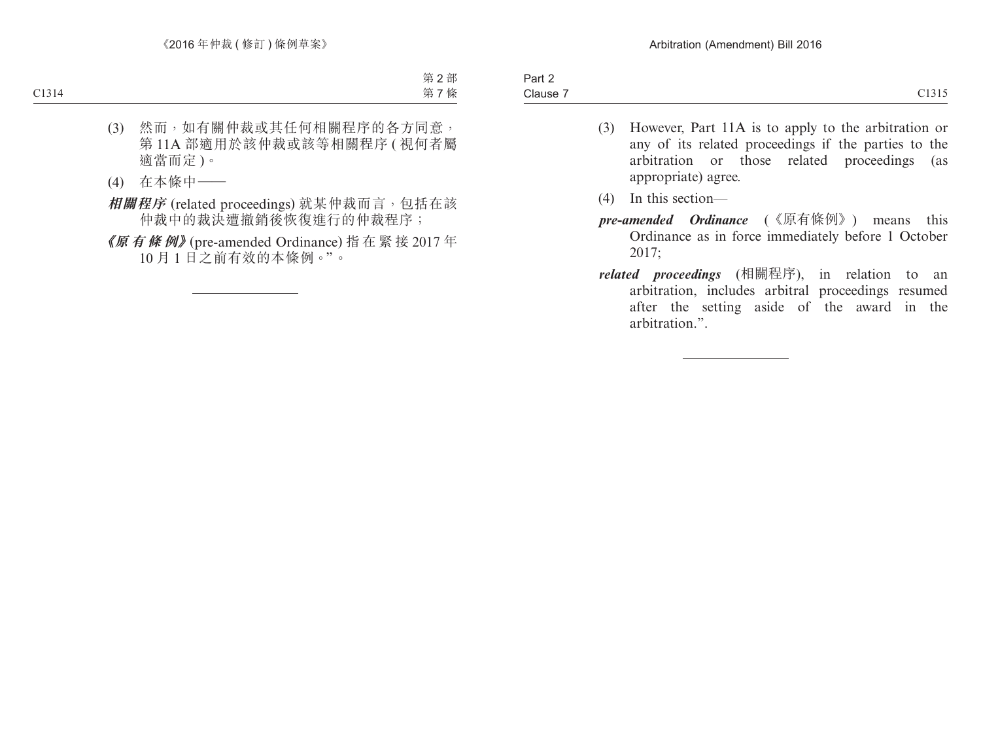- (3) However, Part 11A is to apply to the arbitration or any of its related proceedings if the parties to the arbitration or those related proceedings (as appropriate) agree.
- (4) In this section—
- *pre-amended Ordinance* (《原有條例》) means this Ordinance as in force immediately before 1 October 2017;
- *related proceedings* (相關程序), in relation to an arbitration, includes arbitral proceedings resumed after the setting aside of the award in the arbitration.".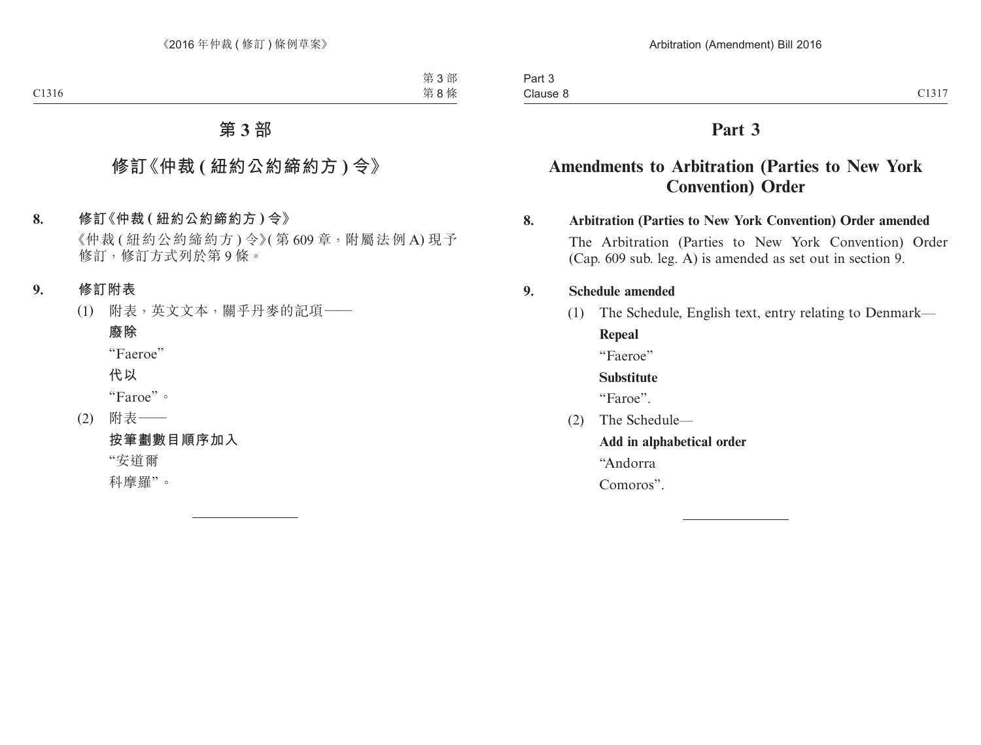## **Part 3**

## **Amendments to Arbitration (Parties to New York Convention) Order**

#### **8. Arbitration (Parties to New York Convention) Order amended**

The Arbitration (Parties to New York Convention) Order (Cap. 609 sub. leg. A) is amended as set out in section 9.

#### **9. Schedule amended**

(1) The Schedule, English text, entry relating to Denmark— **Repeal**

"Faeroe"

**Substitute**

"Faroe".

(2) The Schedule—

**Add in alphabetical order**

"Andorra

Comoros".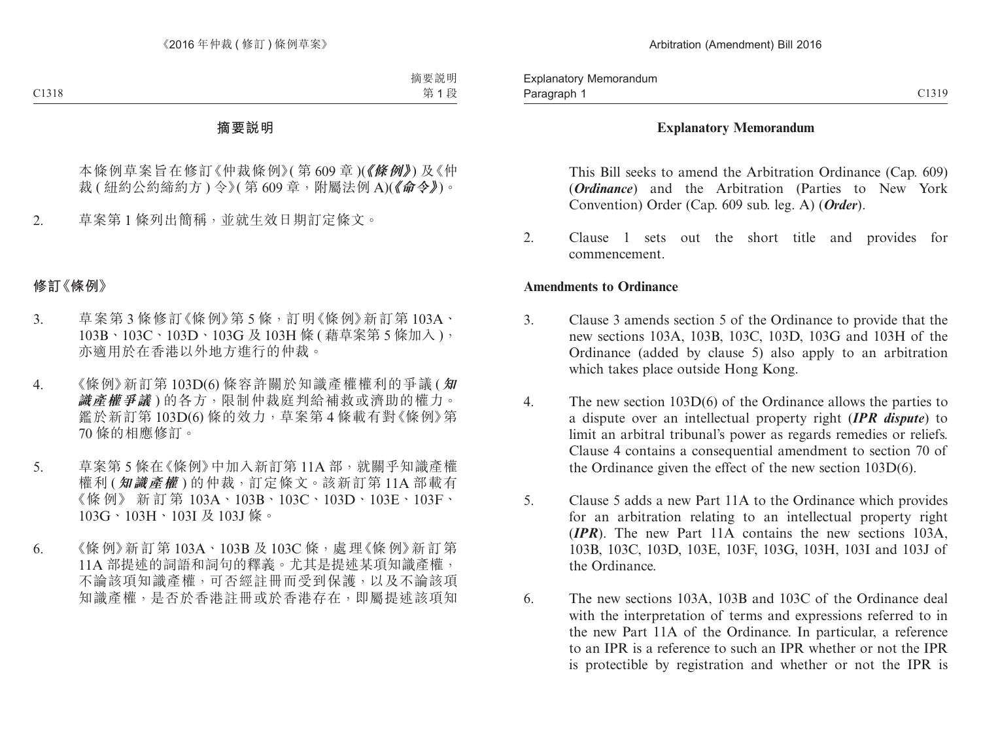#### **Explanatory Memorandum**

This Bill seeks to amend the Arbitration Ordinance (Cap. 609) (*Ordinance*) and the Arbitration (Parties to New York Convention) Order (Cap. 609 sub. leg. A) (*Order*).

2. Clause 1 sets out the short title and provides for commencement.

#### **Amendments to Ordinance**

- 3. Clause 3 amends section 5 of the Ordinance to provide that the new sections 103A, 103B, 103C, 103D, 103G and 103H of the Ordinance (added by clause 5) also apply to an arbitration which takes place outside Hong Kong.
- 4. The new section 103D(6) of the Ordinance allows the parties to a dispute over an intellectual property right (*IPR dispute*) to limit an arbitral tribunal's power as regards remedies or reliefs. Clause 4 contains a consequential amendment to section 70 of the Ordinance given the effect of the new section 103D(6).
- 5. Clause 5 adds a new Part 11A to the Ordinance which provides for an arbitration relating to an intellectual property right (*IPR*). The new Part 11A contains the new sections 103A, 103B, 103C, 103D, 103E, 103F, 103G, 103H, 103I and 103J of the Ordinance.
- 6. The new sections 103A, 103B and 103C of the Ordinance deal with the interpretation of terms and expressions referred to in the new Part 11A of the Ordinance. In particular, a reference to an IPR is a reference to such an IPR whether or not the IPR is protectible by registration and whether or not the IPR is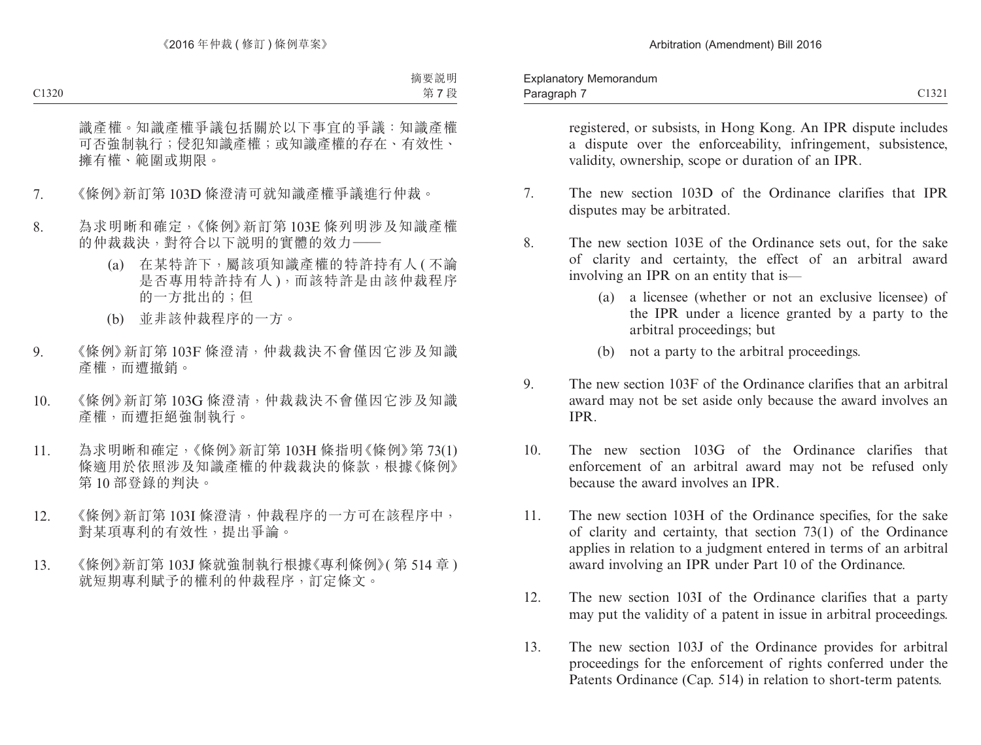registered, or subsists, in Hong Kong. An IPR dispute includes a dispute over the enforceability, infringement, subsistence, validity, ownership, scope or duration of an IPR.

- 7. The new section 103D of the Ordinance clarifies that IPR disputes may be arbitrated.
- 8. The new section 103E of the Ordinance sets out, for the sake of clarity and certainty, the effect of an arbitral award involving an IPR on an entity that is—
	- (a) a licensee (whether or not an exclusive licensee) of the IPR under a licence granted by a party to the arbitral proceedings; but
	- (b) not a party to the arbitral proceedings.
- 9. The new section 103F of the Ordinance clarifies that an arbitral award may not be set aside only because the award involves an IPR.
- 10. The new section 103G of the Ordinance clarifies that enforcement of an arbitral award may not be refused only because the award involves an IPR.
- 11. The new section 103H of the Ordinance specifies, for the sake of clarity and certainty, that section 73(1) of the Ordinance applies in relation to a judgment entered in terms of an arbitral award involving an IPR under Part 10 of the Ordinance.
- 12. The new section 103I of the Ordinance clarifies that a party may put the validity of a patent in issue in arbitral proceedings.
- 13. The new section 103J of the Ordinance provides for arbitral proceedings for the enforcement of rights conferred under the Patents Ordinance (Cap. 514) in relation to short-term patents.